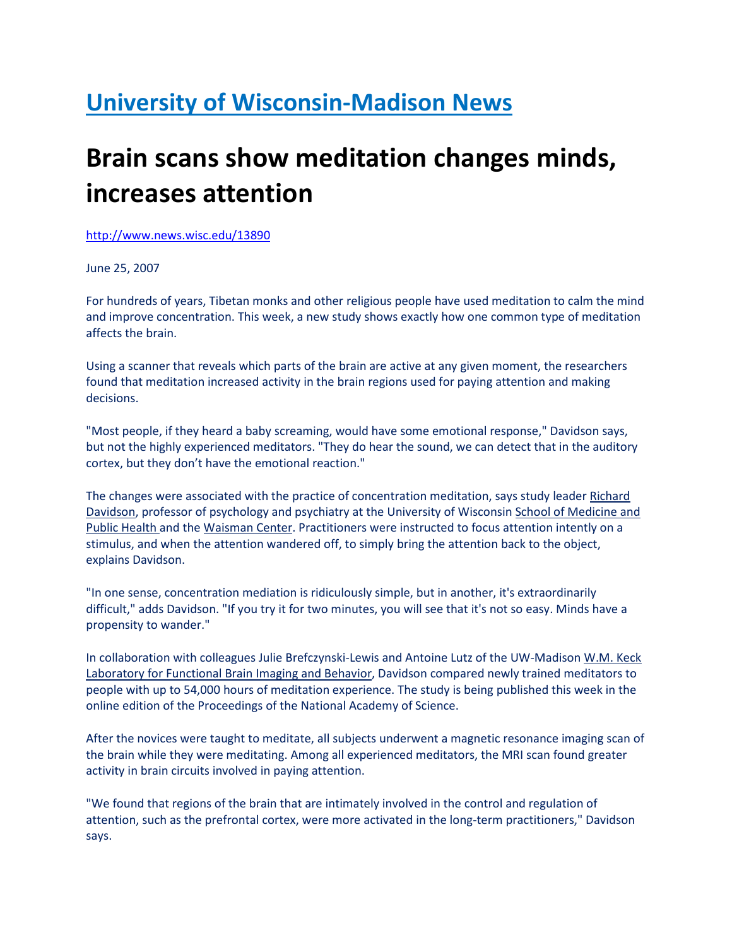## University of Wisconsin-Madison News

## Brain scans show meditation changes minds, increases attention

http://www.news.wisc.edu/13890

June 25, 2007

For hundreds of years, Tibetan monks and other religious people have used meditation to calm the mind and improve concentration. This week, a new study shows exactly how one common type of meditation affects the brain.

Using a scanner that reveals which parts of the brain are active at any given moment, the researchers found that meditation increased activity in the brain regions used for paying attention and making decisions.

"Most people, if they heard a baby screaming, would have some emotional response," Davidson says, but not the highly experienced meditators. "They do hear the sound, we can detect that in the auditory cortex, but they don't have the emotional reaction."

The changes were associated with the practice of concentration meditation, says study leader Richard Davidson, professor of psychology and psychiatry at the University of Wisconsin School of Medicine and Public Health and the Waisman Center. Practitioners were instructed to focus attention intently on a stimulus, and when the attention wandered off, to simply bring the attention back to the object, explains Davidson.

"In one sense, concentration mediation is ridiculously simple, but in another, it's extraordinarily difficult," adds Davidson. "If you try it for two minutes, you will see that it's not so easy. Minds have a propensity to wander."

In collaboration with colleagues Julie Brefczynski-Lewis and Antoine Lutz of the UW-Madison W.M. Keck Laboratory for Functional Brain Imaging and Behavior, Davidson compared newly trained meditators to people with up to 54,000 hours of meditation experience. The study is being published this week in the online edition of the Proceedings of the National Academy of Science.

After the novices were taught to meditate, all subjects underwent a magnetic resonance imaging scan of the brain while they were meditating. Among all experienced meditators, the MRI scan found greater activity in brain circuits involved in paying attention.

"We found that regions of the brain that are intimately involved in the control and regulation of attention, such as the prefrontal cortex, were more activated in the long-term practitioners," Davidson says.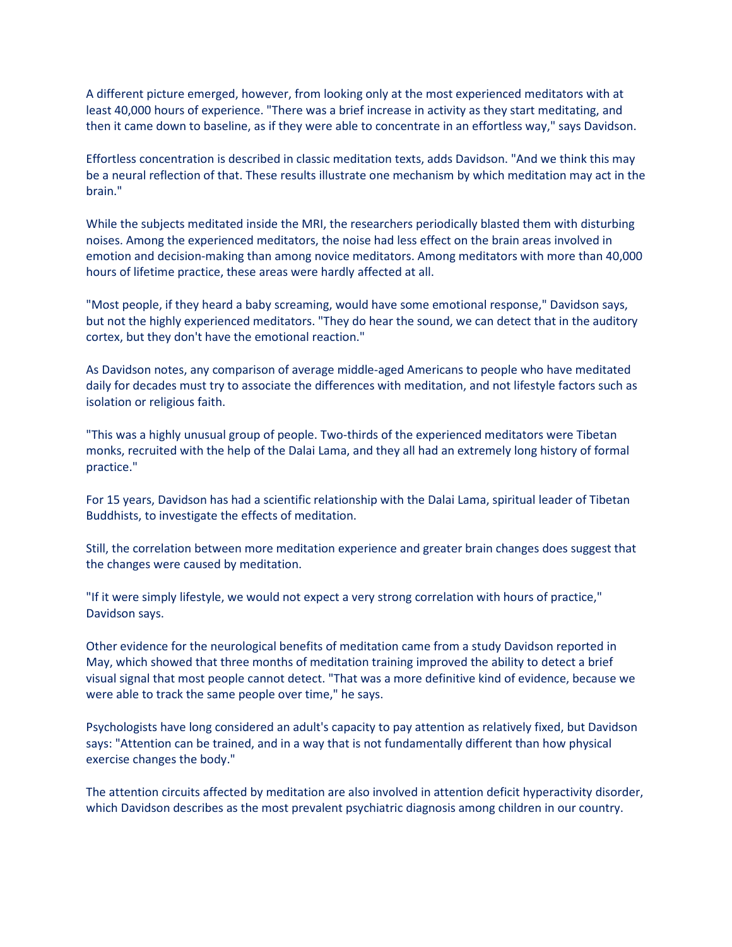A different picture emerged, however, from looking only at the most experienced meditators with at least 40,000 hours of experience. "There was a brief increase in activity as they start meditating, and then it came down to baseline, as if they were able to concentrate in an effortless way," says Davidson.

Effortless concentration is described in classic meditation texts, adds Davidson. "And we think this may be a neural reflection of that. These results illustrate one mechanism by which meditation may act in the brain."

While the subjects meditated inside the MRI, the researchers periodically blasted them with disturbing noises. Among the experienced meditators, the noise had less effect on the brain areas involved in emotion and decision-making than among novice meditators. Among meditators with more than 40,000 hours of lifetime practice, these areas were hardly affected at all.

"Most people, if they heard a baby screaming, would have some emotional response," Davidson says, but not the highly experienced meditators. "They do hear the sound, we can detect that in the auditory cortex, but they don't have the emotional reaction."

As Davidson notes, any comparison of average middle-aged Americans to people who have meditated daily for decades must try to associate the differences with meditation, and not lifestyle factors such as isolation or religious faith.

"This was a highly unusual group of people. Two-thirds of the experienced meditators were Tibetan monks, recruited with the help of the Dalai Lama, and they all had an extremely long history of formal practice."

For 15 years, Davidson has had a scientific relationship with the Dalai Lama, spiritual leader of Tibetan Buddhists, to investigate the effects of meditation.

Still, the correlation between more meditation experience and greater brain changes does suggest that the changes were caused by meditation.

"If it were simply lifestyle, we would not expect a very strong correlation with hours of practice," Davidson says.

Other evidence for the neurological benefits of meditation came from a study Davidson reported in May, which showed that three months of meditation training improved the ability to detect a brief visual signal that most people cannot detect. "That was a more definitive kind of evidence, because we were able to track the same people over time," he says.

Psychologists have long considered an adult's capacity to pay attention as relatively fixed, but Davidson says: "Attention can be trained, and in a way that is not fundamentally different than how physical exercise changes the body."

The attention circuits affected by meditation are also involved in attention deficit hyperactivity disorder, which Davidson describes as the most prevalent psychiatric diagnosis among children in our country.